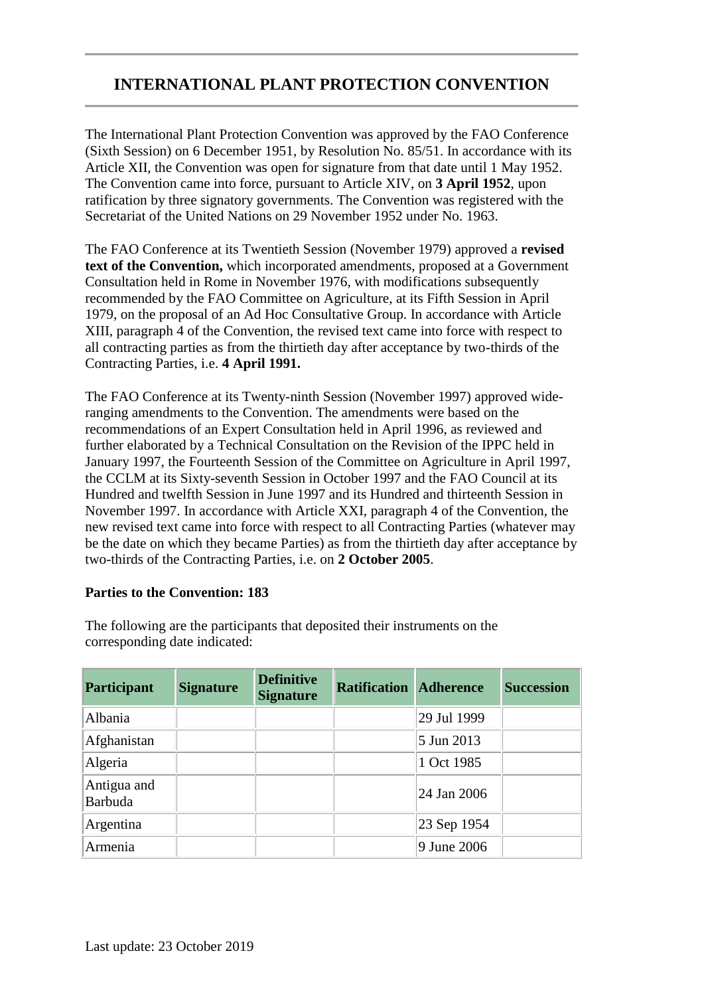# **INTERNATIONAL PLANT PROTECTION CONVENTION**

The International Plant Protection Convention was approved by the FAO Conference (Sixth Session) on 6 December 1951, by Resolution No. 85/51. In accordance with its Article XII, the Convention was open for signature from that date until 1 May 1952. The Convention came into force, pursuant to Article XIV, on **3 April 1952**, upon ratification by three signatory governments. The Convention was registered with the Secretariat of the United Nations on 29 November 1952 under No. 1963.

The FAO Conference at its Twentieth Session (November 1979) approved a **revised text of the Convention,** which incorporated amendments, proposed at a Government Consultation held in Rome in November 1976, with modifications subsequently recommended by the FAO Committee on Agriculture, at its Fifth Session in April 1979, on the proposal of an Ad Hoc Consultative Group. In accordance with Article XIII, paragraph 4 of the Convention, the revised text came into force with respect to all contracting parties as from the thirtieth day after acceptance by two-thirds of the Contracting Parties, i.e. **4 April 1991.**

The FAO Conference at its Twenty-ninth Session (November 1997) approved wideranging amendments to the Convention. The amendments were based on the recommendations of an Expert Consultation held in April 1996, as reviewed and further elaborated by a Technical Consultation on the Revision of the IPPC held in January 1997, the Fourteenth Session of the Committee on Agriculture in April 1997, the CCLM at its Sixty-seventh Session in October 1997 and the FAO Council at its Hundred and twelfth Session in June 1997 and its Hundred and thirteenth Session in November 1997. In accordance with Article XXI, paragraph 4 of the Convention, the new revised text came into force with respect to all Contracting Parties (whatever may be the date on which they became Parties) as from the thirtieth day after acceptance by two-thirds of the Contracting Parties, i.e. on **2 October 2005**.

## **Parties to the Convention: 183**

The following are the participants that deposited their instruments on the corresponding date indicated:

| <b>Participant</b>     | <b>Signature</b> | <b>Definitive</b><br><b>Signature</b> | <b>Ratification</b> | <b>Adherence</b> | <b>Succession</b> |
|------------------------|------------------|---------------------------------------|---------------------|------------------|-------------------|
| Albania                |                  |                                       |                     | 29 Jul 1999      |                   |
| Afghanistan            |                  |                                       |                     | 5 Jun 2013       |                   |
| Algeria                |                  |                                       |                     | 1 Oct 1985       |                   |
| Antigua and<br>Barbuda |                  |                                       |                     | 24 Jan 2006      |                   |
| Argentina              |                  |                                       |                     | 23 Sep 1954      |                   |
| Armenia                |                  |                                       |                     | 9 June 2006      |                   |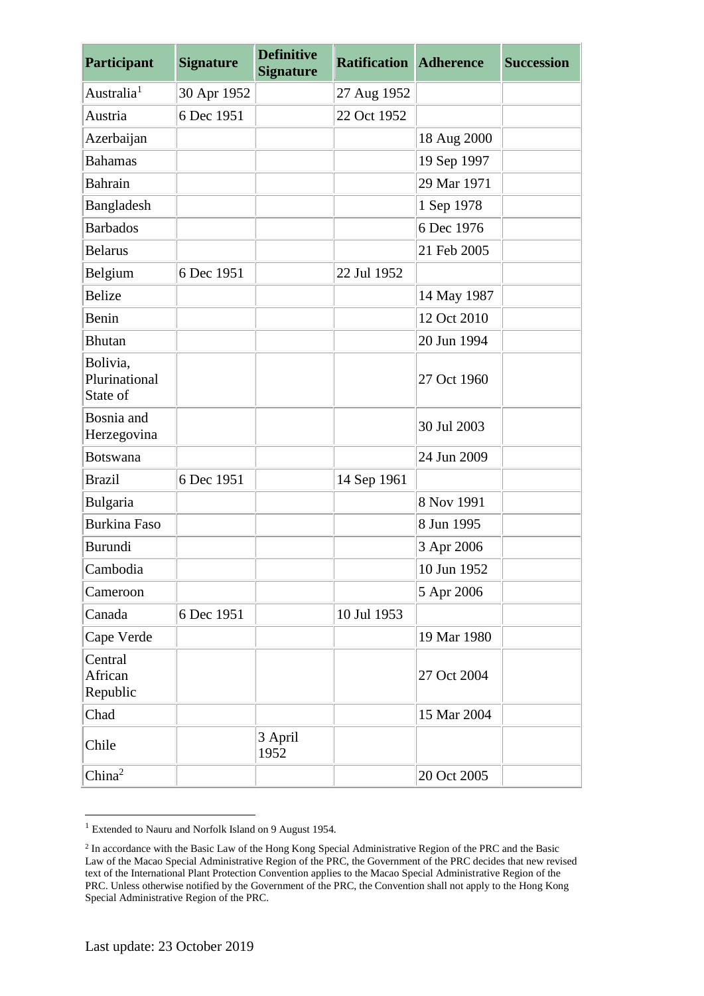| Participant                           | <b>Signature</b> | <b>Definitive</b><br><b>Signature</b> | <b>Ratification Adherence</b> |             | <b>Succession</b> |
|---------------------------------------|------------------|---------------------------------------|-------------------------------|-------------|-------------------|
| Australia <sup>1</sup>                | 30 Apr 1952      |                                       | 27 Aug 1952                   |             |                   |
| Austria                               | 6 Dec 1951       |                                       | 22 Oct 1952                   |             |                   |
| Azerbaijan                            |                  |                                       |                               | 18 Aug 2000 |                   |
| <b>Bahamas</b>                        |                  |                                       |                               | 19 Sep 1997 |                   |
| Bahrain                               |                  |                                       |                               | 29 Mar 1971 |                   |
| Bangladesh                            |                  |                                       |                               | 1 Sep 1978  |                   |
| <b>Barbados</b>                       |                  |                                       |                               | 6 Dec 1976  |                   |
| <b>Belarus</b>                        |                  |                                       |                               | 21 Feb 2005 |                   |
| Belgium                               | 6 Dec 1951       |                                       | 22 Jul 1952                   |             |                   |
| <b>Belize</b>                         |                  |                                       |                               | 14 May 1987 |                   |
| Benin                                 |                  |                                       |                               | 12 Oct 2010 |                   |
| <b>Bhutan</b>                         |                  |                                       |                               | 20 Jun 1994 |                   |
| Bolivia,<br>Plurinational<br>State of |                  |                                       |                               | 27 Oct 1960 |                   |
| Bosnia and<br>Herzegovina             |                  |                                       |                               | 30 Jul 2003 |                   |
| <b>Botswana</b>                       |                  |                                       |                               | 24 Jun 2009 |                   |
| <b>Brazil</b>                         | 6 Dec 1951       |                                       | 14 Sep 1961                   |             |                   |
| Bulgaria                              |                  |                                       |                               | 8 Nov 1991  |                   |
| <b>Burkina Faso</b>                   |                  |                                       |                               | 8 Jun 1995  |                   |
| Burundi                               |                  |                                       |                               | 3 Apr 2006  |                   |
| Cambodia                              |                  |                                       |                               | 10 Jun 1952 |                   |
| Cameroon                              |                  |                                       |                               | 5 Apr 2006  |                   |
| Canada                                | 6 Dec 1951       |                                       | 10 Jul 1953                   |             |                   |
| Cape Verde                            |                  |                                       |                               | 19 Mar 1980 |                   |
| Central<br>African<br>Republic        |                  |                                       |                               | 27 Oct 2004 |                   |
| Chad                                  |                  |                                       |                               | 15 Mar 2004 |                   |
| Chile                                 |                  | 3 April<br>1952                       |                               |             |                   |
| China <sup>2</sup>                    |                  |                                       |                               | 20 Oct 2005 |                   |

<sup>&</sup>lt;sup>1</sup> Extended to Nauru and Norfolk Island on 9 August 1954.

<u>.</u>

<sup>&</sup>lt;sup>2</sup> In accordance with the Basic Law of the Hong Kong Special Administrative Region of the PRC and the Basic Law of the Macao Special Administrative Region of the PRC, the Government of the PRC decides that new revised text of the International Plant Protection Convention applies to the Macao Special Administrative Region of the PRC. Unless otherwise notified by the Government of the PRC, the Convention shall not apply to the Hong Kong Special Administrative Region of the PRC.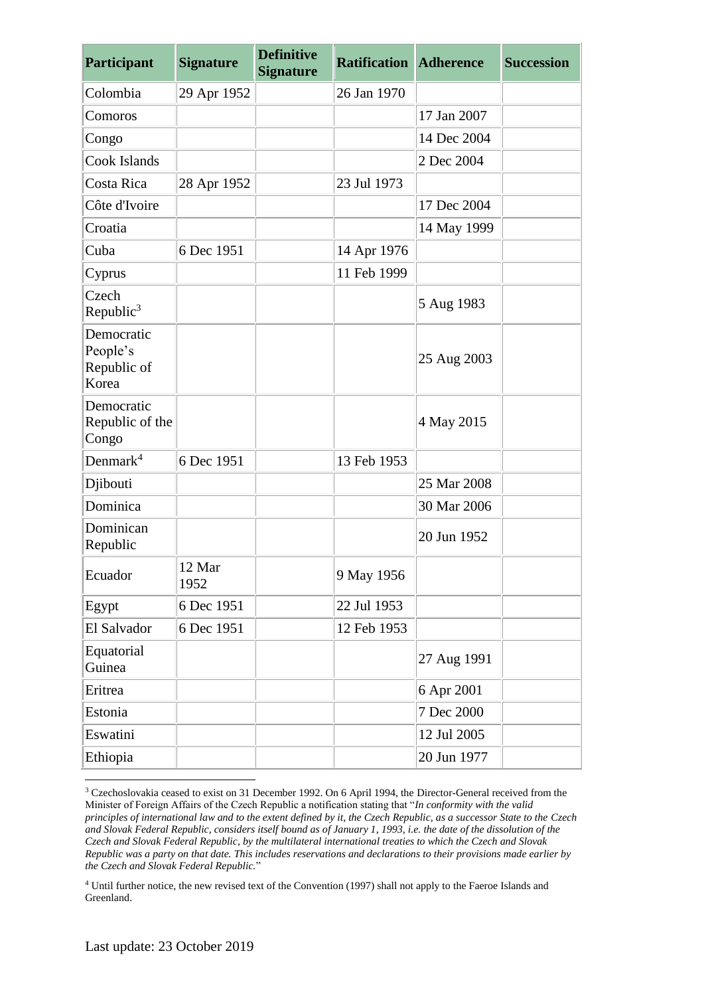| <b>Participant</b>                             | <b>Signature</b> | <b>Definitive</b><br><b>Signature</b> | <b>Ratification Adherence</b> |             | <b>Succession</b> |
|------------------------------------------------|------------------|---------------------------------------|-------------------------------|-------------|-------------------|
| Colombia                                       | 29 Apr 1952      |                                       | 26 Jan 1970                   |             |                   |
| Comoros                                        |                  |                                       |                               | 17 Jan 2007 |                   |
| Congo                                          |                  |                                       |                               | 14 Dec 2004 |                   |
| Cook Islands                                   |                  |                                       |                               | 2 Dec 2004  |                   |
| Costa Rica                                     | 28 Apr 1952      |                                       | 23 Jul 1973                   |             |                   |
| Côte d'Ivoire                                  |                  |                                       |                               | 17 Dec 2004 |                   |
| Croatia                                        |                  |                                       |                               | 14 May 1999 |                   |
| Cuba                                           | 6 Dec 1951       |                                       | 14 Apr 1976                   |             |                   |
| Cyprus                                         |                  |                                       | 11 Feb 1999                   |             |                   |
| Czech<br>Republic $3$                          |                  |                                       |                               | 5 Aug 1983  |                   |
| Democratic<br>People's<br>Republic of<br>Korea |                  |                                       |                               | 25 Aug 2003 |                   |
| Democratic<br>Republic of the<br>Congo         |                  |                                       |                               | 4 May 2015  |                   |
| Denmark <sup>4</sup>                           | 6 Dec 1951       |                                       | 13 Feb 1953                   |             |                   |
| Djibouti                                       |                  |                                       |                               | 25 Mar 2008 |                   |
| Dominica                                       |                  |                                       |                               | 30 Mar 2006 |                   |
| Dominican<br>Republic                          |                  |                                       |                               | 20 Jun 1952 |                   |
| Ecuador                                        | 12 Mar<br>1952   |                                       | 9 May 1956                    |             |                   |
| Egypt                                          | 6 Dec 1951       |                                       | 22 Jul 1953                   |             |                   |
| El Salvador                                    | 6 Dec 1951       |                                       | 12 Feb 1953                   |             |                   |
| Equatorial<br>Guinea                           |                  |                                       |                               | 27 Aug 1991 |                   |
| Eritrea                                        |                  |                                       |                               | 6 Apr 2001  |                   |
| Estonia                                        |                  |                                       |                               | 7 Dec 2000  |                   |
| Eswatini                                       |                  |                                       |                               | 12 Jul 2005 |                   |
| Ethiopia                                       |                  |                                       |                               | 20 Jun 1977 |                   |

<sup>3</sup> Czechoslovakia ceased to exist on 31 December 1992. On 6 April 1994, the Director-General received from the Minister of Foreign Affairs of the Czech Republic a notification stating that "*In conformity with the valid principles of international law and to the extent defined by it, the Czech Republic, as a successor State to the Czech and Slovak Federal Republic, considers itself bound as of January 1, 1993, i.e. the date of the dissolution of the Czech and Slovak Federal Republic, by the multilateral international treaties to which the Czech and Slovak Republic was a party on that date. This includes reservations and declarations to their provisions made earlier by the Czech and Slovak Federal Republic.*"

<sup>4</sup> Until further notice, the new revised text of the Convention (1997) shall not apply to the Faeroe Islands and Greenland.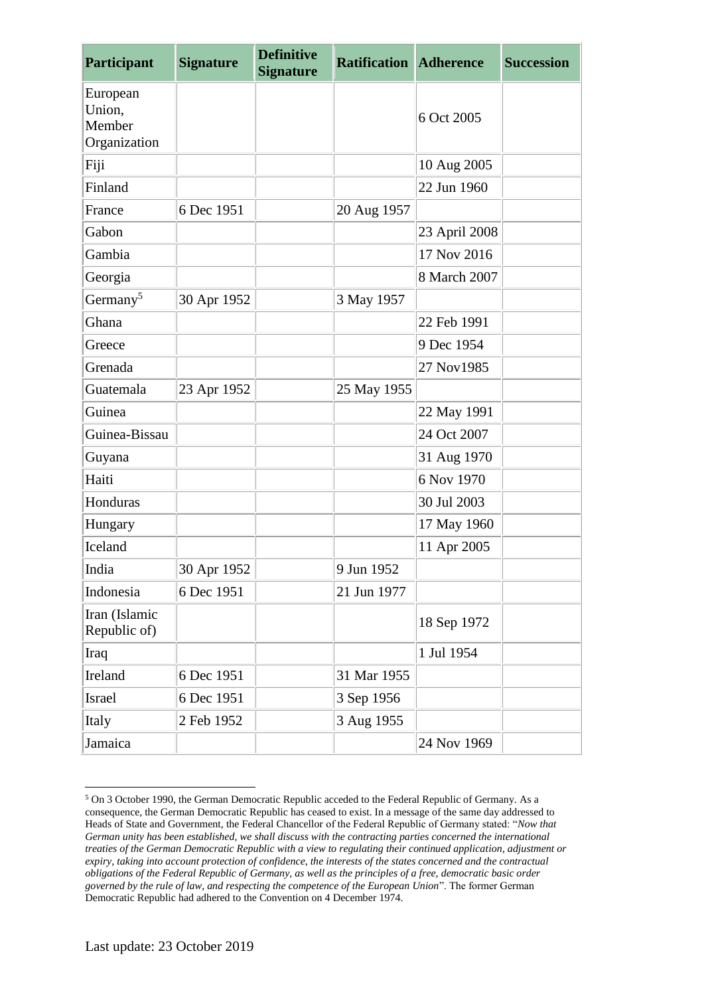| <b>Participant</b>                           | <b>Signature</b> | <b>Definitive</b><br><b>Signature</b> | <b>Ratification</b> | <b>Adherence</b> | <b>Succession</b> |
|----------------------------------------------|------------------|---------------------------------------|---------------------|------------------|-------------------|
| European<br>Union,<br>Member<br>Organization |                  |                                       |                     | 6 Oct 2005       |                   |
| Fiji                                         |                  |                                       |                     | 10 Aug 2005      |                   |
| Finland                                      |                  |                                       |                     | 22 Jun 1960      |                   |
| France                                       | 6 Dec 1951       |                                       | 20 Aug 1957         |                  |                   |
| Gabon                                        |                  |                                       |                     | 23 April 2008    |                   |
| Gambia                                       |                  |                                       |                     | 17 Nov 2016      |                   |
| Georgia                                      |                  |                                       |                     | 8 March 2007     |                   |
| Germany <sup>5</sup>                         | 30 Apr 1952      |                                       | 3 May 1957          |                  |                   |
| Ghana                                        |                  |                                       |                     | 22 Feb 1991      |                   |
| Greece                                       |                  |                                       |                     | 9 Dec 1954       |                   |
| Grenada                                      |                  |                                       |                     | 27 Nov1985       |                   |
| Guatemala                                    | 23 Apr 1952      |                                       | 25 May 1955         |                  |                   |
| Guinea                                       |                  |                                       |                     | 22 May 1991      |                   |
| Guinea-Bissau                                |                  |                                       |                     | 24 Oct 2007      |                   |
| Guyana                                       |                  |                                       |                     | 31 Aug 1970      |                   |
| Haiti                                        |                  |                                       |                     | 6 Nov 1970       |                   |
| Honduras                                     |                  |                                       |                     | 30 Jul 2003      |                   |
| Hungary                                      |                  |                                       |                     | 17 May 1960      |                   |
| Iceland                                      |                  |                                       |                     | 11 Apr 2005      |                   |
| India                                        | 30 Apr 1952      |                                       | 9 Jun 1952          |                  |                   |
| Indonesia                                    | 6 Dec 1951       |                                       | 21 Jun 1977         |                  |                   |
| Iran (Islamic<br>Republic of)                |                  |                                       |                     | 18 Sep 1972      |                   |
| Iraq                                         |                  |                                       |                     | 1 Jul 1954       |                   |
| Ireland                                      | 6 Dec 1951       |                                       | 31 Mar 1955         |                  |                   |
| Israel                                       | 6 Dec 1951       |                                       | 3 Sep 1956          |                  |                   |
| Italy                                        | 2 Feb 1952       |                                       | 3 Aug 1955          |                  |                   |
| Jamaica                                      |                  |                                       |                     | 24 Nov 1969      |                   |

<sup>5</sup> On 3 October 1990, the German Democratic Republic acceded to the Federal Republic of Germany. As a consequence, the German Democratic Republic has ceased to exist. In a message of the same day addressed to Heads of State and Government, the Federal Chancellor of the Federal Republic of Germany stated: "*Now that German unity has been established, we shall discuss with the contracting parties concerned the international treaties of the German Democratic Republic with a view to regulating their continued application, adjustment or expiry, taking into account protection of confidence, the interests of the states concerned and the contractual obligations of the Federal Republic of Germany, as well as the principles of a free, democratic basic order governed by the rule of law, and respecting the competence of the European Union*". The former German Democratic Republic had adhered to the Convention on 4 December 1974.

1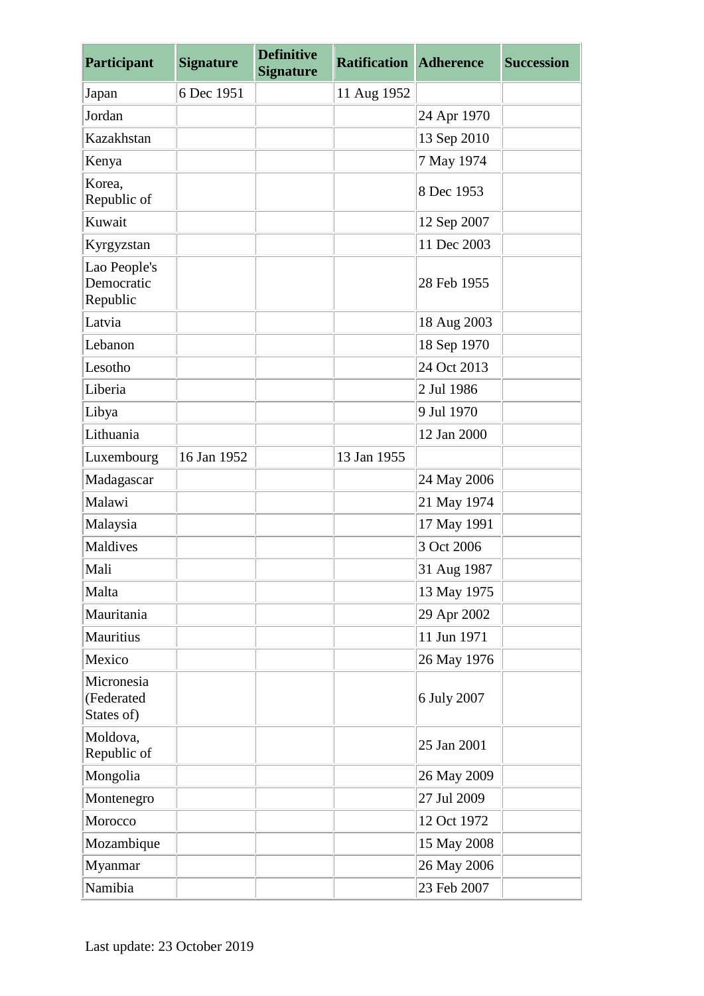| Participant                            | <b>Signature</b> | <b>Definitive</b><br><b>Signature</b> | <b>Ratification Adherence</b> |             | <b>Succession</b> |
|----------------------------------------|------------------|---------------------------------------|-------------------------------|-------------|-------------------|
| Japan                                  | 6 Dec 1951       |                                       | 11 Aug 1952                   |             |                   |
| Jordan                                 |                  |                                       |                               | 24 Apr 1970 |                   |
| Kazakhstan                             |                  |                                       |                               | 13 Sep 2010 |                   |
| Kenya                                  |                  |                                       |                               | 7 May 1974  |                   |
| Korea,<br>Republic of                  |                  |                                       |                               | 8 Dec 1953  |                   |
| Kuwait                                 |                  |                                       |                               | 12 Sep 2007 |                   |
| Kyrgyzstan                             |                  |                                       |                               | 11 Dec 2003 |                   |
| Lao People's<br>Democratic<br>Republic |                  |                                       |                               | 28 Feb 1955 |                   |
| Latvia                                 |                  |                                       |                               | 18 Aug 2003 |                   |
| Lebanon                                |                  |                                       |                               | 18 Sep 1970 |                   |
| Lesotho                                |                  |                                       |                               | 24 Oct 2013 |                   |
| Liberia                                |                  |                                       |                               | 2 Jul 1986  |                   |
| Libya                                  |                  |                                       |                               | 9 Jul 1970  |                   |
| Lithuania                              |                  |                                       |                               | 12 Jan 2000 |                   |
| Luxembourg                             | 16 Jan 1952      |                                       | 13 Jan 1955                   |             |                   |
| Madagascar                             |                  |                                       |                               | 24 May 2006 |                   |
| Malawi                                 |                  |                                       |                               | 21 May 1974 |                   |
| Malaysia                               |                  |                                       |                               | 17 May 1991 |                   |
| Maldives                               |                  |                                       |                               | 3 Oct 2006  |                   |
| Mali                                   |                  |                                       |                               | 31 Aug 1987 |                   |
| Malta                                  |                  |                                       |                               | 13 May 1975 |                   |
| Mauritania                             |                  |                                       |                               | 29 Apr 2002 |                   |
| Mauritius                              |                  |                                       |                               | 11 Jun 1971 |                   |
| Mexico                                 |                  |                                       |                               | 26 May 1976 |                   |
| Micronesia<br>(Federated<br>States of) |                  |                                       |                               | 6 July 2007 |                   |
| Moldova,<br>Republic of                |                  |                                       |                               | 25 Jan 2001 |                   |
| Mongolia                               |                  |                                       |                               | 26 May 2009 |                   |
| Montenegro                             |                  |                                       |                               | 27 Jul 2009 |                   |
| Morocco                                |                  |                                       |                               | 12 Oct 1972 |                   |
| Mozambique                             |                  |                                       |                               | 15 May 2008 |                   |
| Myanmar                                |                  |                                       |                               | 26 May 2006 |                   |
| Namibia                                |                  |                                       |                               | 23 Feb 2007 |                   |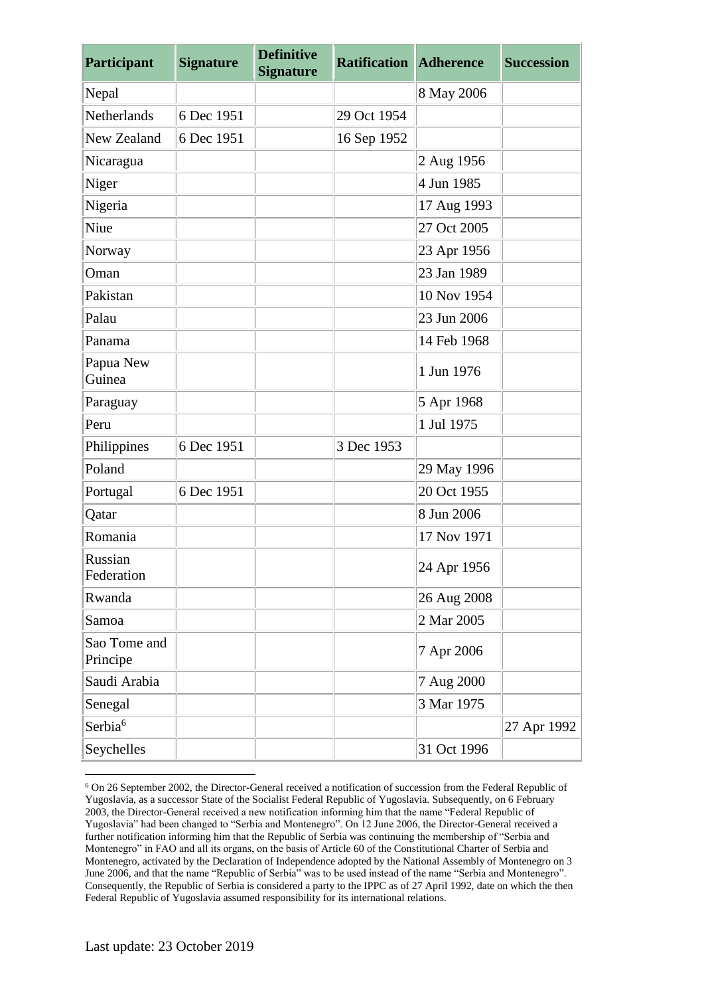| Participant              | <b>Signature</b> | <b>Definitive</b><br><b>Signature</b> | <b>Ratification Adherence</b> |             | <b>Succession</b> |
|--------------------------|------------------|---------------------------------------|-------------------------------|-------------|-------------------|
| Nepal                    |                  |                                       |                               | 8 May 2006  |                   |
| Netherlands              | 6 Dec 1951       |                                       | 29 Oct 1954                   |             |                   |
| New Zealand              | 6 Dec 1951       |                                       | 16 Sep 1952                   |             |                   |
| Nicaragua                |                  |                                       |                               | 2 Aug 1956  |                   |
| Niger                    |                  |                                       |                               | 4 Jun 1985  |                   |
| Nigeria                  |                  |                                       |                               | 17 Aug 1993 |                   |
| Niue                     |                  |                                       |                               | 27 Oct 2005 |                   |
| Norway                   |                  |                                       |                               | 23 Apr 1956 |                   |
| Oman                     |                  |                                       |                               | 23 Jan 1989 |                   |
| Pakistan                 |                  |                                       |                               | 10 Nov 1954 |                   |
| Palau                    |                  |                                       |                               | 23 Jun 2006 |                   |
| Panama                   |                  |                                       |                               | 14 Feb 1968 |                   |
| Papua New<br>Guinea      |                  |                                       |                               | 1 Jun 1976  |                   |
| Paraguay                 |                  |                                       |                               | 5 Apr 1968  |                   |
| Peru                     |                  |                                       |                               | 1 Jul 1975  |                   |
| Philippines              | 6 Dec 1951       |                                       | 3 Dec 1953                    |             |                   |
| Poland                   |                  |                                       |                               | 29 May 1996 |                   |
| Portugal                 | 6 Dec 1951       |                                       |                               | 20 Oct 1955 |                   |
| Qatar                    |                  |                                       |                               | 8 Jun 2006  |                   |
| Romania                  |                  |                                       |                               | 17 Nov 1971 |                   |
| Russian<br>Federation    |                  |                                       |                               | 24 Apr 1956 |                   |
| Rwanda                   |                  |                                       |                               | 26 Aug 2008 |                   |
| Samoa                    |                  |                                       |                               | 2 Mar 2005  |                   |
| Sao Tome and<br>Principe |                  |                                       |                               | 7 Apr 2006  |                   |
| Saudi Arabia             |                  |                                       |                               | 7 Aug 2000  |                   |
| Senegal                  |                  |                                       |                               | 3 Mar 1975  |                   |
| Serbia <sup>6</sup>      |                  |                                       |                               |             | 27 Apr 1992       |
| Seychelles               |                  |                                       |                               | 31 Oct 1996 |                   |

<sup>6</sup> On 26 September 2002, the Director-General received a notification of succession from the Federal Republic of Yugoslavia, as a successor State of the Socialist Federal Republic of Yugoslavia. Subsequently, on 6 February 2003, the Director-General received a new notification informing him that the name "Federal Republic of Yugoslavia" had been changed to "Serbia and Montenegro". On 12 June 2006, the Director-General received a further notification informing him that the Republic of Serbia was continuing the membership of "Serbia and Montenegro" in FAO and all its organs, on the basis of Article 60 of the Constitutional Charter of Serbia and Montenegro, activated by the Declaration of Independence adopted by the National Assembly of Montenegro on 3 June 2006, and that the name "Republic of Serbia" was to be used instead of the name "Serbia and Montenegro". Consequently, the Republic of Serbia is considered a party to the IPPC as of 27 April 1992, date on which the then Federal Republic of Yugoslavia assumed responsibility for its international relations.

1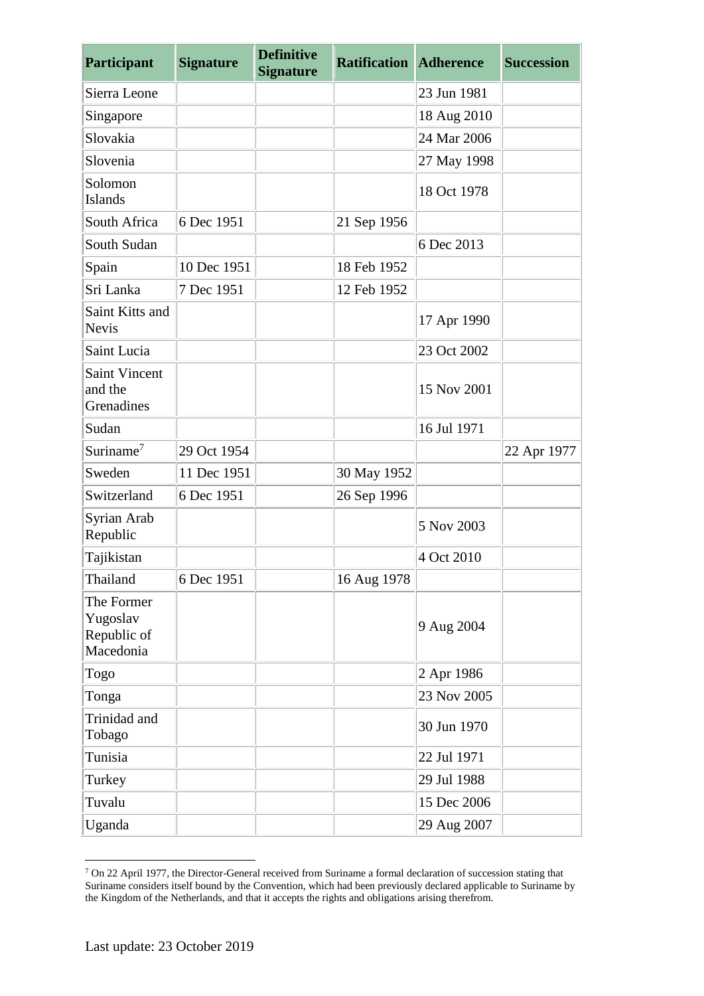| Participant                                        | <b>Signature</b> | <b>Definitive</b><br><b>Signature</b> | <b>Ratification Adherence</b> |             | <b>Succession</b> |
|----------------------------------------------------|------------------|---------------------------------------|-------------------------------|-------------|-------------------|
| Sierra Leone                                       |                  |                                       |                               | 23 Jun 1981 |                   |
| Singapore                                          |                  |                                       |                               | 18 Aug 2010 |                   |
| Slovakia                                           |                  |                                       |                               | 24 Mar 2006 |                   |
| Slovenia                                           |                  |                                       |                               | 27 May 1998 |                   |
| Solomon<br><b>Islands</b>                          |                  |                                       |                               | 18 Oct 1978 |                   |
| South Africa                                       | 6 Dec 1951       |                                       | 21 Sep 1956                   |             |                   |
| South Sudan                                        |                  |                                       |                               | 6 Dec 2013  |                   |
| Spain                                              | 10 Dec 1951      |                                       | 18 Feb 1952                   |             |                   |
| Sri Lanka                                          | 7 Dec 1951       |                                       | 12 Feb 1952                   |             |                   |
| Saint Kitts and<br><b>Nevis</b>                    |                  |                                       |                               | 17 Apr 1990 |                   |
| Saint Lucia                                        |                  |                                       |                               | 23 Oct 2002 |                   |
| <b>Saint Vincent</b><br>and the<br>Grenadines      |                  |                                       |                               | 15 Nov 2001 |                   |
| Sudan                                              |                  |                                       |                               | 16 Jul 1971 |                   |
| Suriname <sup>7</sup>                              | 29 Oct 1954      |                                       |                               |             | 22 Apr 1977       |
| Sweden                                             | 11 Dec 1951      |                                       | 30 May 1952                   |             |                   |
| Switzerland                                        | 6 Dec 1951       |                                       | 26 Sep 1996                   |             |                   |
| Syrian Arab<br>Republic                            |                  |                                       |                               | 5 Nov 2003  |                   |
| Tajikistan                                         |                  |                                       |                               | 4 Oct 2010  |                   |
| Thailand                                           | 6 Dec 1951       |                                       | 16 Aug 1978                   |             |                   |
| The Former<br>Yugoslav<br>Republic of<br>Macedonia |                  |                                       |                               | 9 Aug 2004  |                   |
| Togo                                               |                  |                                       |                               | 2 Apr 1986  |                   |
| Tonga                                              |                  |                                       |                               | 23 Nov 2005 |                   |
| Trinidad and<br>Tobago                             |                  |                                       |                               | 30 Jun 1970 |                   |
| Tunisia                                            |                  |                                       |                               | 22 Jul 1971 |                   |
| Turkey                                             |                  |                                       |                               | 29 Jul 1988 |                   |
| Tuvalu                                             |                  |                                       |                               | 15 Dec 2006 |                   |
| Uganda                                             |                  |                                       |                               | 29 Aug 2007 |                   |

<sup>&</sup>lt;u>.</u> <sup>7</sup> On 22 April 1977, the Director-General received from Suriname a formal declaration of succession stating that Suriname considers itself bound by the Convention, which had been previously declared applicable to Suriname by the Kingdom of the Netherlands, and that it accepts the rights and obligations arising therefrom.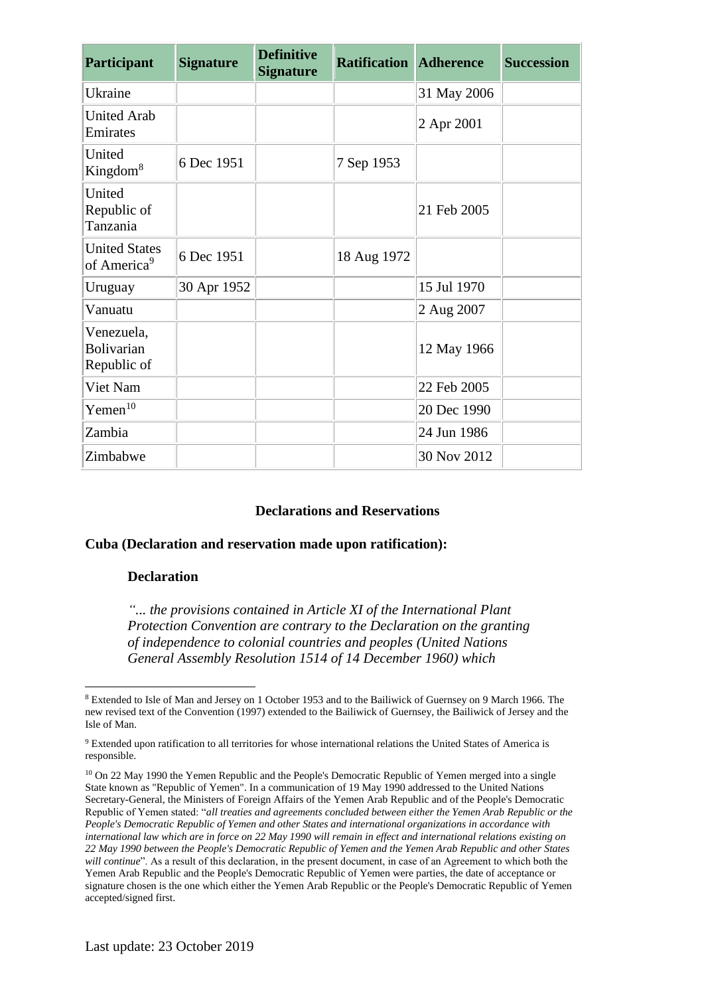| Participant                                     | <b>Signature</b> | <b>Definitive</b><br><b>Signature</b> | <b>Ratification Adherence</b> |             | <b>Succession</b> |
|-------------------------------------------------|------------------|---------------------------------------|-------------------------------|-------------|-------------------|
| Ukraine                                         |                  |                                       |                               | 31 May 2006 |                   |
| <b>United Arab</b><br>Emirates                  |                  |                                       |                               | 2 Apr 2001  |                   |
| United<br>Kingdom <sup>8</sup>                  | 6 Dec 1951       |                                       | 7 Sep 1953                    |             |                   |
| United<br>Republic of<br>Tanzania               |                  |                                       |                               | 21 Feb 2005 |                   |
| <b>United States</b><br>of America <sup>9</sup> | 6 Dec 1951       |                                       | 18 Aug 1972                   |             |                   |
| Uruguay                                         | 30 Apr 1952      |                                       |                               | 15 Jul 1970 |                   |
| Vanuatu                                         |                  |                                       |                               | 2 Aug 2007  |                   |
| Venezuela,<br><b>Bolivarian</b><br>Republic of  |                  |                                       |                               | 12 May 1966 |                   |
| Viet Nam                                        |                  |                                       |                               | 22 Feb 2005 |                   |
| $Y$ emen $10$                                   |                  |                                       |                               | 20 Dec 1990 |                   |
| Zambia                                          |                  |                                       |                               | 24 Jun 1986 |                   |
| Zimbabwe                                        |                  |                                       |                               | 30 Nov 2012 |                   |

## **Declarations and Reservations**

## **Cuba (Declaration and reservation made upon ratification):**

#### **Declaration**

<u>.</u>

*"... the provisions contained in Article XI of the International Plant Protection Convention are contrary to the Declaration on the granting of independence to colonial countries and peoples (United Nations General Assembly Resolution 1514 of 14 December 1960) which* 

<sup>10</sup> On 22 May 1990 the Yemen Republic and the People's Democratic Republic of Yemen merged into a single State known as "Republic of Yemen". In a communication of 19 May 1990 addressed to the United Nations Secretary-General, the Ministers of Foreign Affairs of the Yemen Arab Republic and of the People's Democratic Republic of Yemen stated: "*all treaties and agreements concluded between either the Yemen Arab Republic or the People's Democratic Republic of Yemen and other States and international organizations in accordance with international law which are in force on 22 May 1990 will remain in effect and international relations existing on 22 May 1990 between the People's Democratic Republic of Yemen and the Yemen Arab Republic and other States will continue*". As a result of this declaration, in the present document, in case of an Agreement to which both the Yemen Arab Republic and the People's Democratic Republic of Yemen were parties, the date of acceptance or signature chosen is the one which either the Yemen Arab Republic or the People's Democratic Republic of Yemen accepted/signed first.

<sup>8</sup> Extended to Isle of Man and Jersey on 1 October 1953 and to the Bailiwick of Guernsey on 9 March 1966. The new revised text of the Convention (1997) extended to the Bailiwick of Guernsey, the Bailiwick of Jersey and the Isle of Man.

<sup>9</sup> Extended upon ratification to all territories for whose international relations the United States of America is responsible.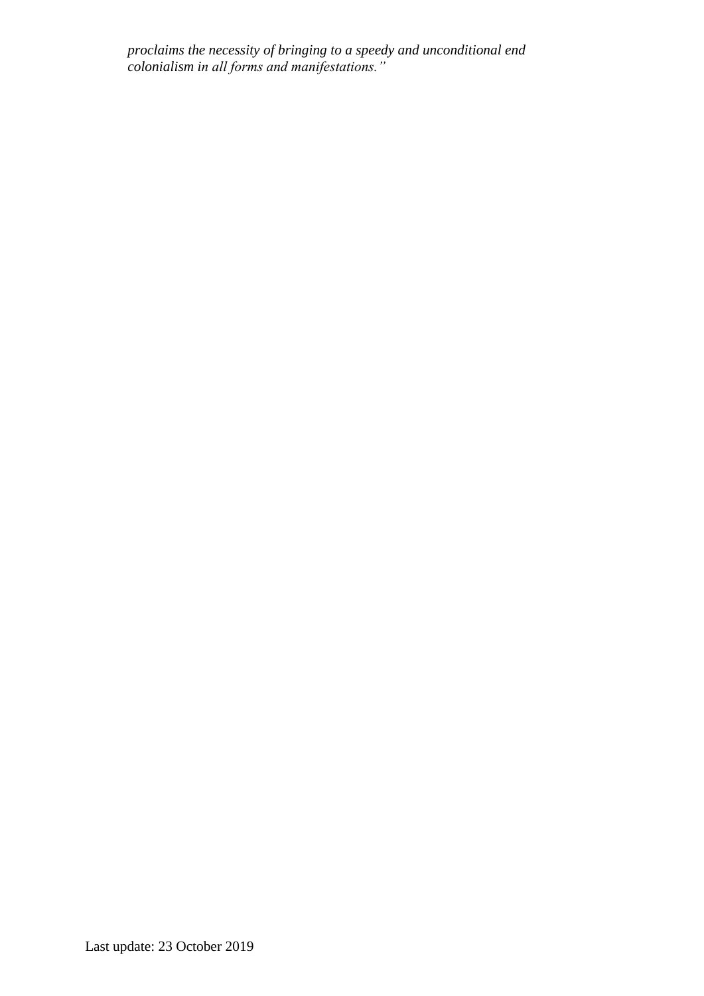*proclaims the necessity of bringing to a speedy and unconditional end colonialism in all forms and manifestations."*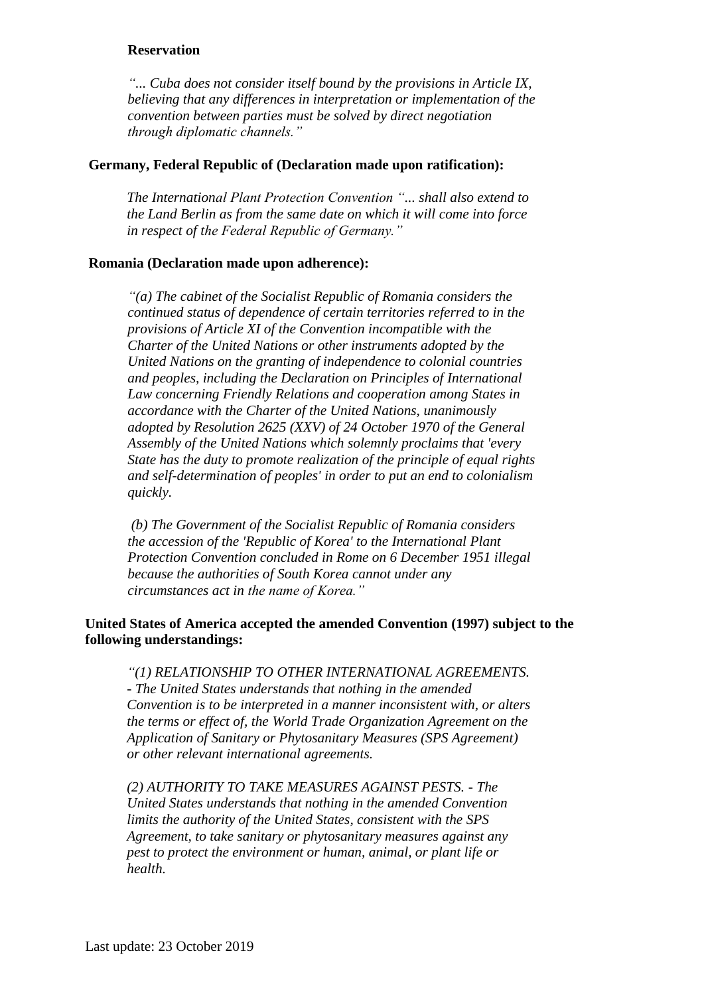### **Reservation**

*"... Cuba does not consider itself bound by the provisions in Article IX, believing that any differences in interpretation or implementation of the convention between parties must be solved by direct negotiation through diplomatic channels."*

## **Germany, Federal Republic of (Declaration made upon ratification):**

*The International Plant Protection Convention "... shall also extend to the Land Berlin as from the same date on which it will come into force in respect of the Federal Republic of Germany."*

#### **Romania (Declaration made upon adherence):**

*"(a) The cabinet of the Socialist Republic of Romania considers the continued status of dependence of certain territories referred to in the provisions of Article XI of the Convention incompatible with the Charter of the United Nations or other instruments adopted by the United Nations on the granting of independence to colonial countries and peoples, including the Declaration on Principles of International Law concerning Friendly Relations and cooperation among States in accordance with the Charter of the United Nations, unanimously adopted by Resolution 2625 (XXV) of 24 October 1970 of the General Assembly of the United Nations which solemnly proclaims that 'every State has the duty to promote realization of the principle of equal rights and self-determination of peoples' in order to put an end to colonialism quickly.*

*(b) The Government of the Socialist Republic of Romania considers the accession of the 'Republic of Korea' to the International Plant Protection Convention concluded in Rome on 6 December 1951 illegal because the authorities of South Korea cannot under any circumstances act in the name of Korea."*

## **United States of America accepted the amended Convention (1997) subject to the following understandings:**

*"(1) RELATIONSHIP TO OTHER INTERNATIONAL AGREEMENTS. - The United States understands that nothing in the amended Convention is to be interpreted in a manner inconsistent with, or alters the terms or effect of, the World Trade Organization Agreement on the Application of Sanitary or Phytosanitary Measures (SPS Agreement) or other relevant international agreements.*

*(2) AUTHORITY TO TAKE MEASURES AGAINST PESTS.* - *The United States understands that nothing in the amended Convention limits the authority of the United States, consistent with the SPS Agreement, to take sanitary or phytosanitary measures against any pest to protect the environment or human, animal, or plant life or health.*